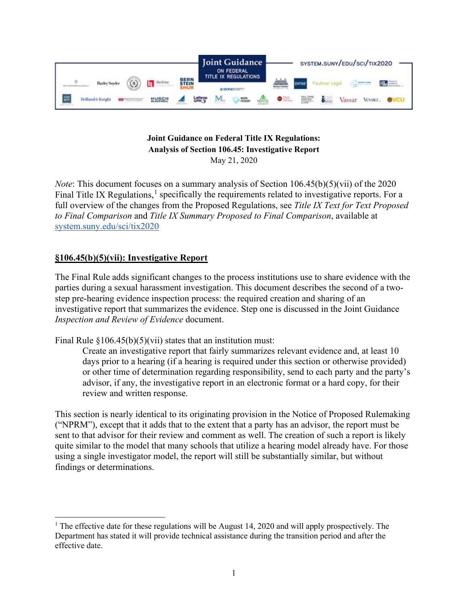

### **Joint Guidance on Federal Title IX Regulations: Analysis of Section 106.45: Investigative Report** May 21, 2020

*Note*: This document focuses on a summary analysis of Section 106.45(b)(5)(vii) of the 2020 Final Title IX Regulations, $<sup>1</sup>$  $<sup>1</sup>$  $<sup>1</sup>$  specifically the requirements related to investigative reports. For a</sup> full overview of the changes from the Proposed Regulations, see *Title IX Text for Text Proposed to Final Comparison* and *Title IX Summary Proposed to Final Comparison*, available at [system.suny.edu/sci/tix2020](https://system.suny.edu/sci/tix2020/)

# **§106.45(b)(5)(vii): Investigative Report**

The Final Rule adds significant changes to the process institutions use to share evidence with the parties during a sexual harassment investigation. This document describes the second of a twostep pre-hearing evidence inspection process: the required creation and sharing of an investigative report that summarizes the evidence. Step one is discussed in the Joint Guidance *Inspection and Review of Evidence* document.

Final Rule  $\S 106.45(b)(5)(vii)$  states that an institution must:

Create an investigative report that fairly summarizes relevant evidence and, at least 10 days prior to a hearing (if a hearing is required under this section or otherwise provided) or other time of determination regarding responsibility, send to each party and the party's advisor, if any, the investigative report in an electronic format or a hard copy, for their review and written response.

This section is nearly identical to its originating provision in the Notice of Proposed Rulemaking ("NPRM"), except that it adds that to the extent that a party has an advisor, the report must be sent to that advisor for their review and comment as well. The creation of such a report is likely quite similar to the model that many schools that utilize a hearing model already have. For those using a single investigator model, the report will still be substantially similar, but without findings or determinations.

<span id="page-0-0"></span><sup>&</sup>lt;sup>1</sup> The effective date for these regulations will be August 14, 2020 and will apply prospectively. The Department has stated it will provide technical assistance during the transition period and after the effective date.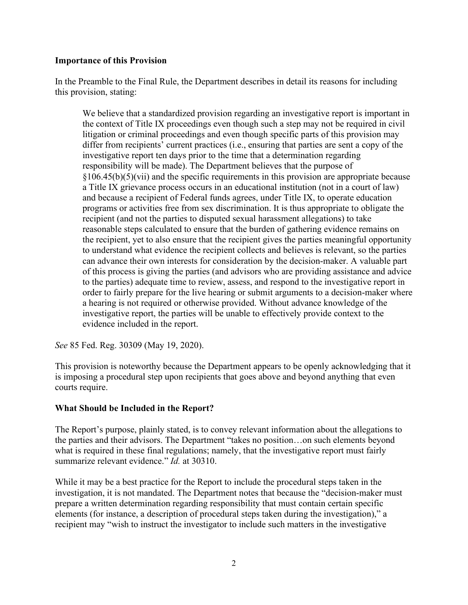### **Importance of this Provision**

In the Preamble to the Final Rule, the Department describes in detail its reasons for including this provision, stating:

We believe that a standardized provision regarding an investigative report is important in the context of Title IX proceedings even though such a step may not be required in civil litigation or criminal proceedings and even though specific parts of this provision may differ from recipients' current practices (i.e., ensuring that parties are sent a copy of the investigative report ten days prior to the time that a determination regarding responsibility will be made). The Department believes that the purpose of  $§106.45(b)(5)(vii)$  and the specific requirements in this provision are appropriate because a Title IX grievance process occurs in an educational institution (not in a court of law) and because a recipient of Federal funds agrees, under Title IX, to operate education programs or activities free from sex discrimination. It is thus appropriate to obligate the recipient (and not the parties to disputed sexual harassment allegations) to take reasonable steps calculated to ensure that the burden of gathering evidence remains on the recipient, yet to also ensure that the recipient gives the parties meaningful opportunity to understand what evidence the recipient collects and believes is relevant, so the parties can advance their own interests for consideration by the decision-maker. A valuable part of this process is giving the parties (and advisors who are providing assistance and advice to the parties) adequate time to review, assess, and respond to the investigative report in order to fairly prepare for the live hearing or submit arguments to a decision-maker where a hearing is not required or otherwise provided. Without advance knowledge of the investigative report, the parties will be unable to effectively provide context to the evidence included in the report.

*See* 85 Fed. Reg. 30309 (May 19, 2020).

This provision is noteworthy because the Department appears to be openly acknowledging that it is imposing a procedural step upon recipients that goes above and beyond anything that even courts require.

### **What Should be Included in the Report?**

The Report's purpose, plainly stated, is to convey relevant information about the allegations to the parties and their advisors. The Department "takes no position…on such elements beyond what is required in these final regulations; namely, that the investigative report must fairly summarize relevant evidence." *Id.* at 30310.

While it may be a best practice for the Report to include the procedural steps taken in the investigation, it is not mandated. The Department notes that because the "decision-maker must prepare a written determination regarding responsibility that must contain certain specific elements (for instance, a description of procedural steps taken during the investigation)," a recipient may "wish to instruct the investigator to include such matters in the investigative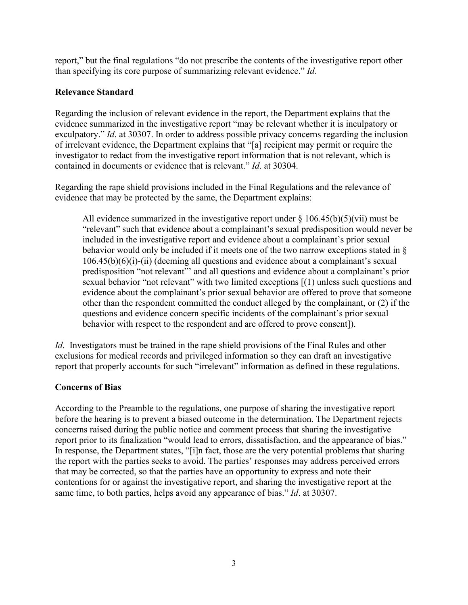report," but the final regulations "do not prescribe the contents of the investigative report other than specifying its core purpose of summarizing relevant evidence." *Id*.

### **Relevance Standard**

Regarding the inclusion of relevant evidence in the report, the Department explains that the evidence summarized in the investigative report "may be relevant whether it is inculpatory or exculpatory." *Id*. at 30307. In order to address possible privacy concerns regarding the inclusion of irrelevant evidence, the Department explains that "[a] recipient may permit or require the investigator to redact from the investigative report information that is not relevant, which is contained in documents or evidence that is relevant." *Id*. at 30304.

Regarding the rape shield provisions included in the Final Regulations and the relevance of evidence that may be protected by the same, the Department explains:

All evidence summarized in the investigative report under  $\S 106.45(b)(5)(vi)$  must be "relevant" such that evidence about a complainant's sexual predisposition would never be included in the investigative report and evidence about a complainant's prior sexual behavior would only be included if it meets one of the two narrow exceptions stated in § 106.45(b)(6)(i)-(ii) (deeming all questions and evidence about a complainant's sexual predisposition "not relevant"' and all questions and evidence about a complainant's prior sexual behavior "not relevant" with two limited exceptions [(1) unless such questions and evidence about the complainant's prior sexual behavior are offered to prove that someone other than the respondent committed the conduct alleged by the complainant, or (2) if the questions and evidence concern specific incidents of the complainant's prior sexual behavior with respect to the respondent and are offered to prove consent]).

*Id.* Investigators must be trained in the rape shield provisions of the Final Rules and other exclusions for medical records and privileged information so they can draft an investigative report that properly accounts for such "irrelevant" information as defined in these regulations.

## **Concerns of Bias**

According to the Preamble to the regulations, one purpose of sharing the investigative report before the hearing is to prevent a biased outcome in the determination. The Department rejects concerns raised during the public notice and comment process that sharing the investigative report prior to its finalization "would lead to errors, dissatisfaction, and the appearance of bias." In response, the Department states, "[i]n fact, those are the very potential problems that sharing the report with the parties seeks to avoid. The parties' responses may address perceived errors that may be corrected, so that the parties have an opportunity to express and note their contentions for or against the investigative report, and sharing the investigative report at the same time, to both parties, helps avoid any appearance of bias." *Id*. at 30307.